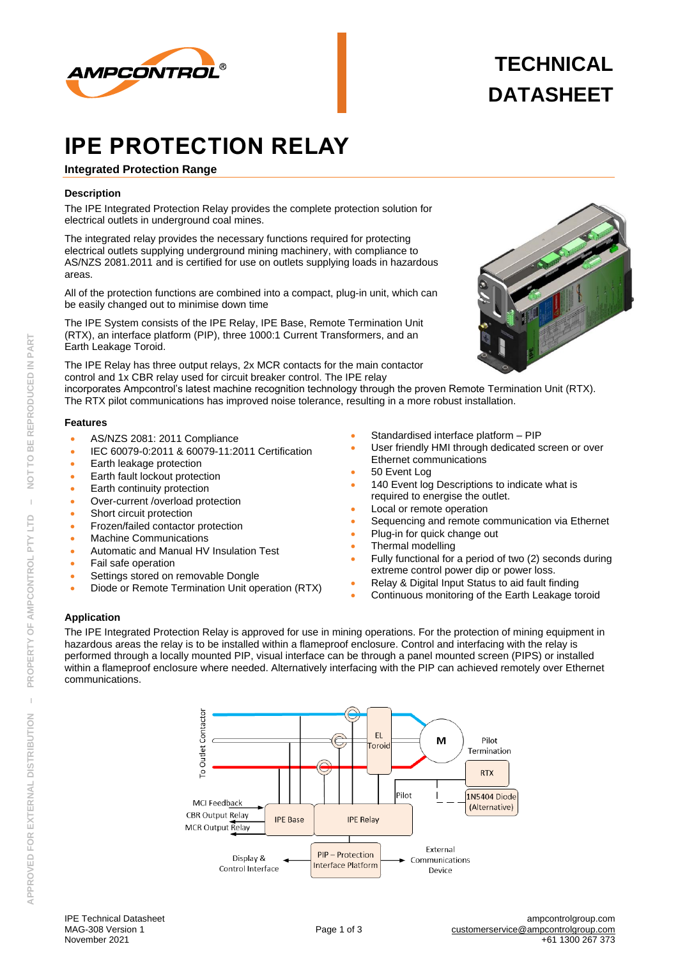

# **TECHNICAL DATASHEET**

# **IPE PROTECTION RELAY**

# **Integrated Protection Range**

## **Description**

The IPE Integrated Protection Relay provides the complete protection solution for electrical outlets in underground coal mines.

The integrated relay provides the necessary functions required for protecting electrical outlets supplying underground mining machinery, with compliance to AS/NZS 2081.2011 and is certified for use on outlets supplying loads in hazardous areas.

All of the protection functions are combined into a compact, plug-in unit, which can be easily changed out to minimise down time

The IPE System consists of the IPE Relay, IPE Base, Remote Termination Unit (RTX), an interface platform (PIP), three 1000:1 Current Transformers, and an Earth Leakage Toroid.

The IPE Relay has three output relays, 2x MCR contacts for the main contactor control and 1x CBR relay used for circuit breaker control. The IPE relay

incorporates Ampcontrol's latest machine recognition technology through the proven Remote Termination Unit (RTX). The RTX pilot communications has improved noise tolerance, resulting in a more robust installation.

## **Features**

- AS/NZS 2081: 2011 Compliance
- IEC 60079-0:2011 & 60079-11:2011 Certification
- Earth leakage protection
- Earth fault lockout protection
- Earth continuity protection
- Over-current /overload protection
- Short circuit protection
- Frozen/failed contactor protection
- Machine Communications
- Automatic and Manual HV Insulation Test
- Fail safe operation
- Settings stored on removable Dongle
- Diode or Remote Termination Unit operation (RTX)
- Standardised interface platform PIP
- User friendly HMI through dedicated screen or over Ethernet communications
- 50 Event Log
- 140 Event log Descriptions to indicate what is required to energise the outlet.
- Local or remote operation
- Sequencing and remote communication via Ethernet
- Plug-in for quick change out
- Thermal modelling
- Fully functional for a period of two (2) seconds during extreme control power dip or power loss.
- Relay & Digital Input Status to aid fault finding
- Continuous monitoring of the Earth Leakage toroid

## **Application**

The IPE Integrated Protection Relay is approved for use in mining operations. For the protection of mining equipment in hazardous areas the relay is to be installed within a flameproof enclosure. Control and interfacing with the relay is performed through a locally mounted PIP, visual interface can be through a panel mounted screen (PIPS) or installed within a flameproof enclosure where needed. Alternatively interfacing with the PIP can achieved remotely over Ethernet communications.

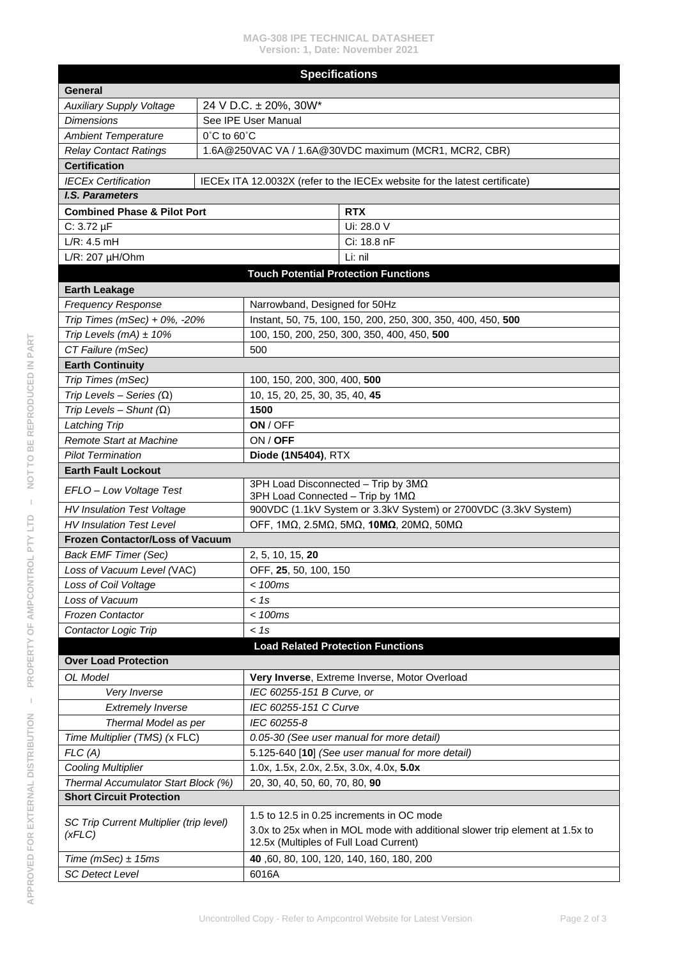### **MAG-308 IPE TECHNICAL DATASHEET Version: 1, Date: November 2021**

| <b>Specifications</b>                             |                                                       |                                                                         |                                                                             |  |  |
|---------------------------------------------------|-------------------------------------------------------|-------------------------------------------------------------------------|-----------------------------------------------------------------------------|--|--|
| General                                           |                                                       |                                                                         |                                                                             |  |  |
| <b>Auxiliary Supply Voltage</b>                   | 24 V D.C. ± 20%, 30W*                                 |                                                                         |                                                                             |  |  |
| <b>Dimensions</b>                                 | See IPE User Manual                                   |                                                                         |                                                                             |  |  |
| <b>Ambient Temperature</b>                        | $0^{\circ}$ C to $60^{\circ}$ C                       |                                                                         |                                                                             |  |  |
| <b>Relay Contact Ratings</b>                      | 1.6A@250VAC VA / 1.6A@30VDC maximum (MCR1, MCR2, CBR) |                                                                         |                                                                             |  |  |
| <b>Certification</b>                              |                                                       |                                                                         |                                                                             |  |  |
| <b>IECEx Certification</b>                        |                                                       |                                                                         | IECEx ITA 12.0032X (refer to the IECEx website for the latest certificate)  |  |  |
| <b>I.S. Parameters</b>                            |                                                       |                                                                         |                                                                             |  |  |
| <b>Combined Phase &amp; Pilot Port</b>            |                                                       |                                                                         | <b>RTX</b>                                                                  |  |  |
| $C: 3.72 \mu F$                                   |                                                       |                                                                         | Ui: 28.0 V                                                                  |  |  |
| L/R: 4.5 mH                                       |                                                       |                                                                         | Ci: 18.8 nF                                                                 |  |  |
| $L/R$ : 207 $\mu$ H/Ohm                           |                                                       |                                                                         | Li: nil                                                                     |  |  |
| <b>Touch Potential Protection Functions</b>       |                                                       |                                                                         |                                                                             |  |  |
| <b>Earth Leakage</b>                              |                                                       |                                                                         |                                                                             |  |  |
| <b>Frequency Response</b>                         |                                                       | Narrowband, Designed for 50Hz                                           |                                                                             |  |  |
| Trip Times (mSec) + 0%, -20%                      |                                                       | Instant, 50, 75, 100, 150, 200, 250, 300, 350, 400, 450, 500            |                                                                             |  |  |
| Trip Levels (mA) $\pm$ 10%                        |                                                       | 100, 150, 200, 250, 300, 350, 400, 450, 500                             |                                                                             |  |  |
| CT Failure (mSec)                                 |                                                       | 500                                                                     |                                                                             |  |  |
| <b>Earth Continuity</b>                           |                                                       |                                                                         |                                                                             |  |  |
| Trip Times (mSec)                                 |                                                       | 100, 150, 200, 300, 400, 500                                            |                                                                             |  |  |
| Trip Levels - Series $(\Omega)$                   |                                                       | 10, 15, 20, 25, 30, 35, 40, 45                                          |                                                                             |  |  |
| Trip Levels - Shunt $(\Omega)$                    |                                                       | 1500                                                                    |                                                                             |  |  |
| Latching Trip                                     |                                                       | ON / OFF                                                                |                                                                             |  |  |
| <b>Remote Start at Machine</b>                    |                                                       | ON / OFF                                                                |                                                                             |  |  |
| <b>Pilot Termination</b>                          |                                                       | Diode (1N5404), RTX                                                     |                                                                             |  |  |
| <b>Earth Fault Lockout</b>                        |                                                       |                                                                         |                                                                             |  |  |
| EFLO-Low Voltage Test                             |                                                       | 3PH Load Disconnected - Trip by 3MΩ<br>3PH Load Connected - Trip by 1MΩ |                                                                             |  |  |
| <b>HV Insulation Test Voltage</b>                 |                                                       | 900VDC (1.1kV System or 3.3kV System) or 2700VDC (3.3kV System)         |                                                                             |  |  |
| <b>HV Insulation Test Level</b>                   |                                                       | ΟΕΕ, 1ΜΩ, 2.5ΜΩ, 5ΜΩ, 10ΜΩ, 20ΜΩ, 50ΜΩ                                  |                                                                             |  |  |
| <b>Frozen Contactor/Loss of Vacuum</b>            |                                                       |                                                                         |                                                                             |  |  |
| <b>Back EMF Timer (Sec)</b>                       |                                                       | 2, 5, 10, 15, 20                                                        |                                                                             |  |  |
| Loss of Vacuum Level (VAC)                        |                                                       | OFF, 25, 50, 100, 150                                                   |                                                                             |  |  |
| Loss of Coil Voltage                              |                                                       | $<$ 100 $ms$                                                            |                                                                             |  |  |
| Loss of Vacuum                                    |                                                       | < 1s                                                                    |                                                                             |  |  |
| <b>Frozen Contactor</b>                           |                                                       | < 100ms                                                                 |                                                                             |  |  |
| Contactor Logic Trip                              |                                                       | < 1s                                                                    |                                                                             |  |  |
|                                                   |                                                       | <b>Load Related Protection Functions</b>                                |                                                                             |  |  |
| <b>Over Load Protection</b>                       |                                                       |                                                                         |                                                                             |  |  |
| OL Model                                          |                                                       |                                                                         | Very Inverse, Extreme Inverse, Motor Overload                               |  |  |
| Very Inverse                                      |                                                       | IEC 60255-151 B Curve, or                                               |                                                                             |  |  |
| <b>Extremely Inverse</b>                          |                                                       | IEC 60255-151 C Curve                                                   |                                                                             |  |  |
| Thermal Model as per                              |                                                       | IEC 60255-8                                                             |                                                                             |  |  |
| Time Multiplier (TMS) (x FLC)                     |                                                       | 0.05-30 (See user manual for more detail)                               |                                                                             |  |  |
| FLC(A)                                            |                                                       | 5.125-640 [10] (See user manual for more detail)                        |                                                                             |  |  |
| <b>Cooling Multiplier</b>                         |                                                       | 1.0x, 1.5x, 2.0x, 2.5x, 3.0x, 4.0x, 5.0x                                |                                                                             |  |  |
| Thermal Accumulator Start Block (%)               |                                                       | 20, 30, 40, 50, 60, 70, 80, 90                                          |                                                                             |  |  |
| <b>Short Circuit Protection</b>                   |                                                       |                                                                         |                                                                             |  |  |
|                                                   |                                                       | 1.5 to 12.5 in 0.25 increments in OC mode                               |                                                                             |  |  |
| SC Trip Current Multiplier (trip level)<br>(XFLC) |                                                       | 12.5x (Multiples of Full Load Current)                                  | 3.0x to 25x when in MOL mode with additional slower trip element at 1.5x to |  |  |
| Time (mSec) $\pm$ 15ms                            |                                                       | 40, 60, 80, 100, 120, 140, 160, 180, 200                                |                                                                             |  |  |
| <b>SC Detect Level</b>                            |                                                       | 6016A                                                                   |                                                                             |  |  |